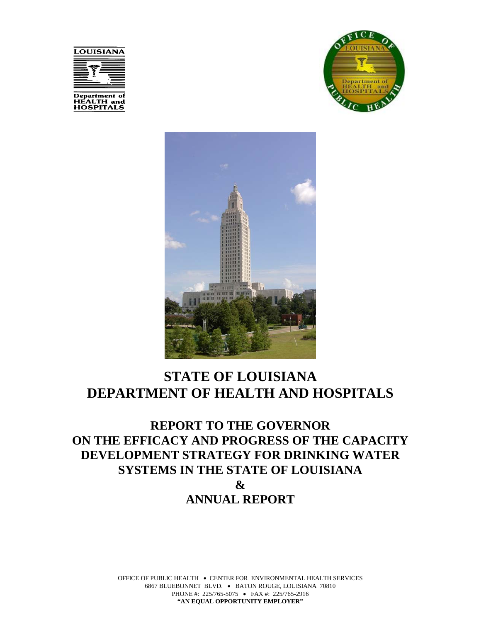





# **STATE OF LOUISIANA DEPARTMENT OF HEALTH AND HOSPITALS**

**REPORT TO THE GOVERNOR ON THE EFFICACY AND PROGRESS OF THE CAPACITY DEVELOPMENT STRATEGY FOR DRINKING WATER SYSTEMS IN THE STATE OF LOUISIANA & ANNUAL REPORT**

> OFFICE OF PUBLIC HEALTH • CENTER FOR ENVIRONMENTAL HEALTH SERVICES 6867 BLUEBONNET BLVD. • BATON ROUGE, LOUISIANA 70810 PHONE #: 225/765-5075 • FAX #: 225/765-2916 **"AN EQUAL OPPORTUNITY EMPLOYER"**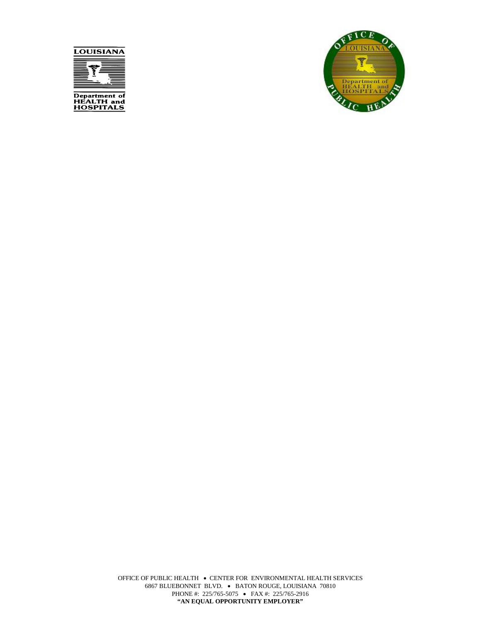



OFFICE OF PUBLIC HEALTH • CENTER FOR ENVIRONMENTAL HEALTH SERVICES 6867 BLUEBONNET BLVD. • BATON ROUGE, LOUISIANA 70810 PHONE #: 225/765-5075 • FAX #: 225/765-2916 **"AN EQUAL OPPORTUNITY EMPLOYER"**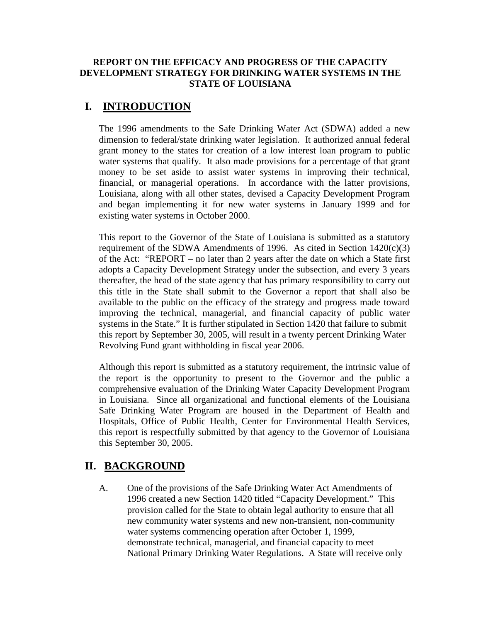#### **REPORT ON THE EFFICACY AND PROGRESS OF THE CAPACITY DEVELOPMENT STRATEGY FOR DRINKING WATER SYSTEMS IN THE STATE OF LOUISIANA**

## **I. INTRODUCTION**

The 1996 amendments to the Safe Drinking Water Act (SDWA) added a new dimension to federal/state drinking water legislation. It authorized annual federal grant money to the states for creation of a low interest loan program to public water systems that qualify. It also made provisions for a percentage of that grant money to be set aside to assist water systems in improving their technical, financial, or managerial operations. In accordance with the latter provisions, Louisiana, along with all other states, devised a Capacity Development Program and began implementing it for new water systems in January 1999 and for existing water systems in October 2000.

This report to the Governor of the State of Louisiana is submitted as a statutory requirement of the SDWA Amendments of 1996. As cited in Section  $1420(c)(3)$ of the Act: "REPORT – no later than 2 years after the date on which a State first adopts a Capacity Development Strategy under the subsection, and every 3 years thereafter, the head of the state agency that has primary responsibility to carry out this title in the State shall submit to the Governor a report that shall also be available to the public on the efficacy of the strategy and progress made toward improving the technical, managerial, and financial capacity of public water systems in the State." It is further stipulated in Section 1420 that failure to submit this report by September 30, 2005, will result in a twenty percent Drinking Water Revolving Fund grant withholding in fiscal year 2006.

Although this report is submitted as a statutory requirement, the intrinsic value of the report is the opportunity to present to the Governor and the public a comprehensive evaluation of the Drinking Water Capacity Development Program in Louisiana. Since all organizational and functional elements of the Louisiana Safe Drinking Water Program are housed in the Department of Health and Hospitals, Office of Public Health, Center for Environmental Health Services, this report is respectfully submitted by that agency to the Governor of Louisiana this September 30, 2005.

### **II. BACKGROUND**

A. One of the provisions of the Safe Drinking Water Act Amendments of 1996 created a new Section 1420 titled "Capacity Development." This provision called for the State to obtain legal authority to ensure that all new community water systems and new non-transient, non-community water systems commencing operation after October 1, 1999, demonstrate technical, managerial, and financial capacity to meet National Primary Drinking Water Regulations. A State will receive only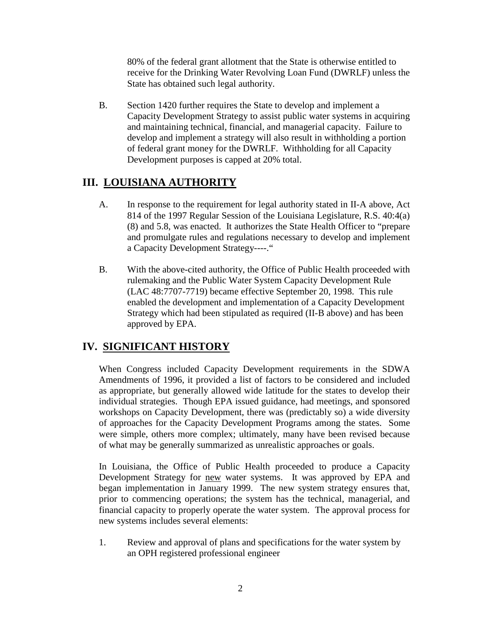80% of the federal grant allotment that the State is otherwise entitled to receive for the Drinking Water Revolving Loan Fund (DWRLF) unless the State has obtained such legal authority.

B. Section 1420 further requires the State to develop and implement a Capacity Development Strategy to assist public water systems in acquiring and maintaining technical, financial, and managerial capacity. Failure to develop and implement a strategy will also result in withholding a portion of federal grant money for the DWRLF. Withholding for all Capacity Development purposes is capped at 20% total.

# **III. LOUISIANA AUTHORITY**

- A. In response to the requirement for legal authority stated in II-A above, Act 814 of the 1997 Regular Session of the Louisiana Legislature, R.S. 40:4(a) (8) and 5.8, was enacted. It authorizes the State Health Officer to "prepare and promulgate rules and regulations necessary to develop and implement a Capacity Development Strategy----."
- B. With the above-cited authority, the Office of Public Health proceeded with rulemaking and the Public Water System Capacity Development Rule (LAC 48:7707-7719) became effective September 20, 1998. This rule enabled the development and implementation of a Capacity Development Strategy which had been stipulated as required (II-B above) and has been approved by EPA.

# **IV. SIGNIFICANT HISTORY**

 When Congress included Capacity Development requirements in the SDWA Amendments of 1996, it provided a list of factors to be considered and included as appropriate, but generally allowed wide latitude for the states to develop their individual strategies. Though EPA issued guidance, had meetings, and sponsored workshops on Capacity Development, there was (predictably so) a wide diversity of approaches for the Capacity Development Programs among the states. Some were simple, others more complex; ultimately, many have been revised because of what may be generally summarized as unrealistic approaches or goals.

In Louisiana, the Office of Public Health proceeded to produce a Capacity Development Strategy for new water systems. It was approved by EPA and began implementation in January 1999. The new system strategy ensures that, prior to commencing operations; the system has the technical, managerial, and financial capacity to properly operate the water system. The approval process for new systems includes several elements:

1. Review and approval of plans and specifications for the water system by an OPH registered professional engineer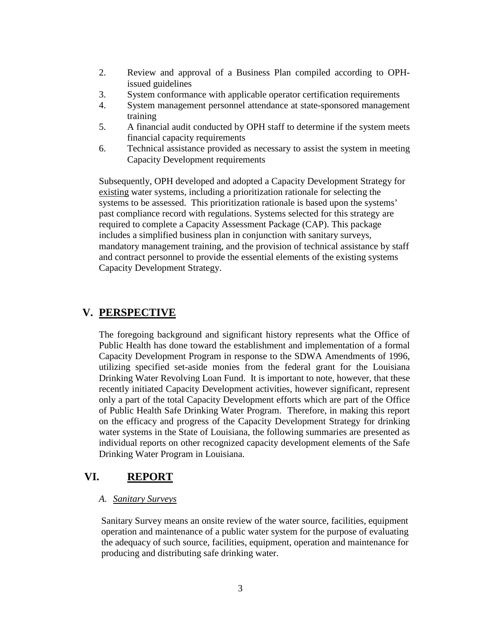- 2. Review and approval of a Business Plan compiled according to OPHissued guidelines
- 3. System conformance with applicable operator certification requirements
- 4. System management personnel attendance at state-sponsored management training
- 5. A financial audit conducted by OPH staff to determine if the system meets financial capacity requirements
- 6. Technical assistance provided as necessary to assist the system in meeting Capacity Development requirements

Subsequently, OPH developed and adopted a Capacity Development Strategy for existing water systems, including a prioritization rationale for selecting the systems to be assessed. This prioritization rationale is based upon the systems' past compliance record with regulations. Systems selected for this strategy are required to complete a Capacity Assessment Package (CAP). This package includes a simplified business plan in conjunction with sanitary surveys, mandatory management training, and the provision of technical assistance by staff and contract personnel to provide the essential elements of the existing systems Capacity Development Strategy.

## **V. PERSPECTIVE**

The foregoing background and significant history represents what the Office of Public Health has done toward the establishment and implementation of a formal Capacity Development Program in response to the SDWA Amendments of 1996, utilizing specified set-aside monies from the federal grant for the Louisiana Drinking Water Revolving Loan Fund. It is important to note, however, that these recently initiated Capacity Development activities, however significant, represent only a part of the total Capacity Development efforts which are part of the Office of Public Health Safe Drinking Water Program. Therefore, in making this report on the efficacy and progress of the Capacity Development Strategy for drinking water systems in the State of Louisiana, the following summaries are presented as individual reports on other recognized capacity development elements of the Safe Drinking Water Program in Louisiana.

### **VI. REPORT**

#### *A. Sanitary Surveys*

Sanitary Survey means an onsite review of the water source, facilities, equipment operation and maintenance of a public water system for the purpose of evaluating the adequacy of such source, facilities, equipment, operation and maintenance for producing and distributing safe drinking water.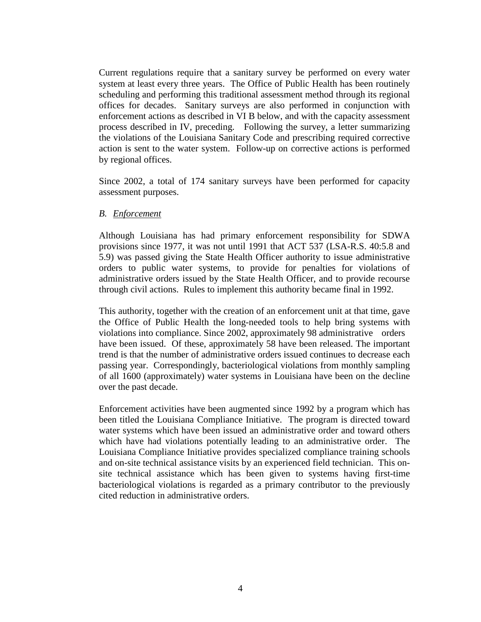Current regulations require that a sanitary survey be performed on every water system at least every three years. The Office of Public Health has been routinely scheduling and performing this traditional assessment method through its regional offices for decades. Sanitary surveys are also performed in conjunction with enforcement actions as described in VI B below, and with the capacity assessment process described in IV, preceding. Following the survey, a letter summarizing the violations of the Louisiana Sanitary Code and prescribing required corrective action is sent to the water system. Follow-up on corrective actions is performed by regional offices.

Since 2002, a total of 174 sanitary surveys have been performed for capacity assessment purposes.

#### *B. Enforcement*

Although Louisiana has had primary enforcement responsibility for SDWA provisions since 1977, it was not until 1991 that ACT 537 (LSA-R.S. 40:5.8 and 5.9) was passed giving the State Health Officer authority to issue administrative orders to public water systems, to provide for penalties for violations of administrative orders issued by the State Health Officer, and to provide recourse through civil actions. Rules to implement this authority became final in 1992.

This authority, together with the creation of an enforcement unit at that time, gave the Office of Public Health the long-needed tools to help bring systems with violations into compliance. Since 2002, approximately 98 administrative orders have been issued. Of these, approximately 58 have been released. The important trend is that the number of administrative orders issued continues to decrease each passing year. Correspondingly, bacteriological violations from monthly sampling of all 1600 (approximately) water systems in Louisiana have been on the decline over the past decade.

Enforcement activities have been augmented since 1992 by a program which has been titled the Louisiana Compliance Initiative. The program is directed toward water systems which have been issued an administrative order and toward others which have had violations potentially leading to an administrative order. The Louisiana Compliance Initiative provides specialized compliance training schools and on-site technical assistance visits by an experienced field technician. This onsite technical assistance which has been given to systems having first-time bacteriological violations is regarded as a primary contributor to the previously cited reduction in administrative orders.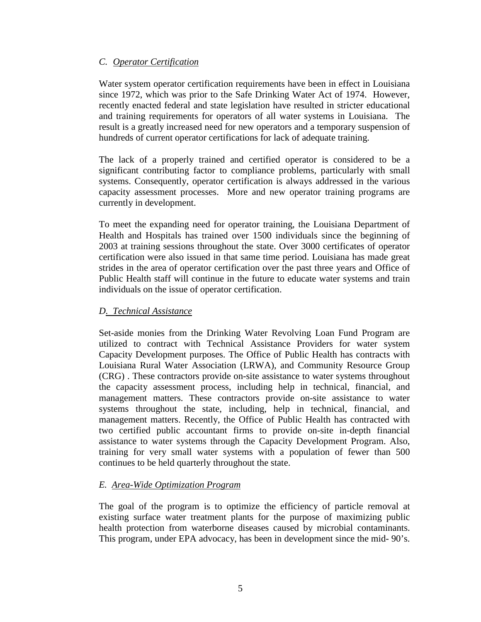#### *C. Operator Certification*

Water system operator certification requirements have been in effect in Louisiana since 1972, which was prior to the Safe Drinking Water Act of 1974. However, recently enacted federal and state legislation have resulted in stricter educational and training requirements for operators of all water systems in Louisiana. The result is a greatly increased need for new operators and a temporary suspension of hundreds of current operator certifications for lack of adequate training.

The lack of a properly trained and certified operator is considered to be a significant contributing factor to compliance problems, particularly with small systems. Consequently, operator certification is always addressed in the various capacity assessment processes. More and new operator training programs are currently in development.

To meet the expanding need for operator training, the Louisiana Department of Health and Hospitals has trained over 1500 individuals since the beginning of 2003 at training sessions throughout the state. Over 3000 certificates of operator certification were also issued in that same time period. Louisiana has made great strides in the area of operator certification over the past three years and Office of Public Health staff will continue in the future to educate water systems and train individuals on the issue of operator certification.

#### *D. Technical Assistance*

Set-aside monies from the Drinking Water Revolving Loan Fund Program are utilized to contract with Technical Assistance Providers for water system Capacity Development purposes. The Office of Public Health has contracts with Louisiana Rural Water Association (LRWA), and Community Resource Group (CRG) . These contractors provide on-site assistance to water systems throughout the capacity assessment process, including help in technical, financial, and management matters. These contractors provide on-site assistance to water systems throughout the state, including, help in technical, financial, and management matters. Recently, the Office of Public Health has contracted with two certified public accountant firms to provide on-site in-depth financial assistance to water systems through the Capacity Development Program. Also, training for very small water systems with a population of fewer than 500 continues to be held quarterly throughout the state.

#### *E. Area-Wide Optimization Program*

The goal of the program is to optimize the efficiency of particle removal at existing surface water treatment plants for the purpose of maximizing public health protection from waterborne diseases caused by microbial contaminants. This program, under EPA advocacy, has been in development since the mid- 90's.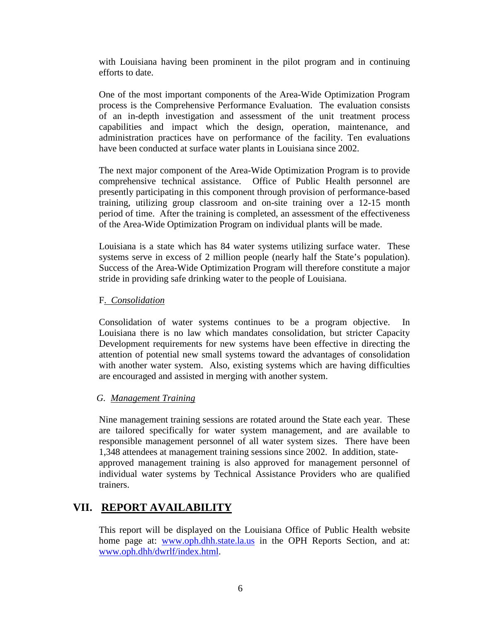with Louisiana having been prominent in the pilot program and in continuing efforts to date.

One of the most important components of the Area-Wide Optimization Program process is the Comprehensive Performance Evaluation. The evaluation consists of an in-depth investigation and assessment of the unit treatment process capabilities and impact which the design, operation, maintenance, and administration practices have on performance of the facility. Ten evaluations have been conducted at surface water plants in Louisiana since 2002.

The next major component of the Area-Wide Optimization Program is to provide comprehensive technical assistance. Office of Public Health personnel are presently participating in this component through provision of performance-based training, utilizing group classroom and on-site training over a 12-15 month period of time. After the training is completed, an assessment of the effectiveness of the Area-Wide Optimization Program on individual plants will be made.

Louisiana is a state which has 84 water systems utilizing surface water. These systems serve in excess of 2 million people (nearly half the State's population). Success of the Area-Wide Optimization Program will therefore constitute a major stride in providing safe drinking water to the people of Louisiana.

#### F. *Consolidation*

Consolidation of water systems continues to be a program objective. In Louisiana there is no law which mandates consolidation, but stricter Capacity Development requirements for new systems have been effective in directing the attention of potential new small systems toward the advantages of consolidation with another water system. Also, existing systems which are having difficulties are encouraged and assisted in merging with another system.

#### *G. Management Training*

Nine management training sessions are rotated around the State each year. These are tailored specifically for water system management, and are available to responsible management personnel of all water system sizes. There have been 1,348 attendees at management training sessions since 2002. In addition, stateapproved management training is also approved for management personnel of individual water systems by Technical Assistance Providers who are qualified trainers.

### **VII. REPORT AVAILABILITY**

This report will be displayed on the Louisiana Office of Public Health website home page at: [www.oph.dhh.state.la.us](http://www.oph.dhh.state.la.us/) in the OPH Reports Section, and at: [www.oph.dhh/dwrlf/index.html.](http://www.oph.dhh/dwrlf/index.html)